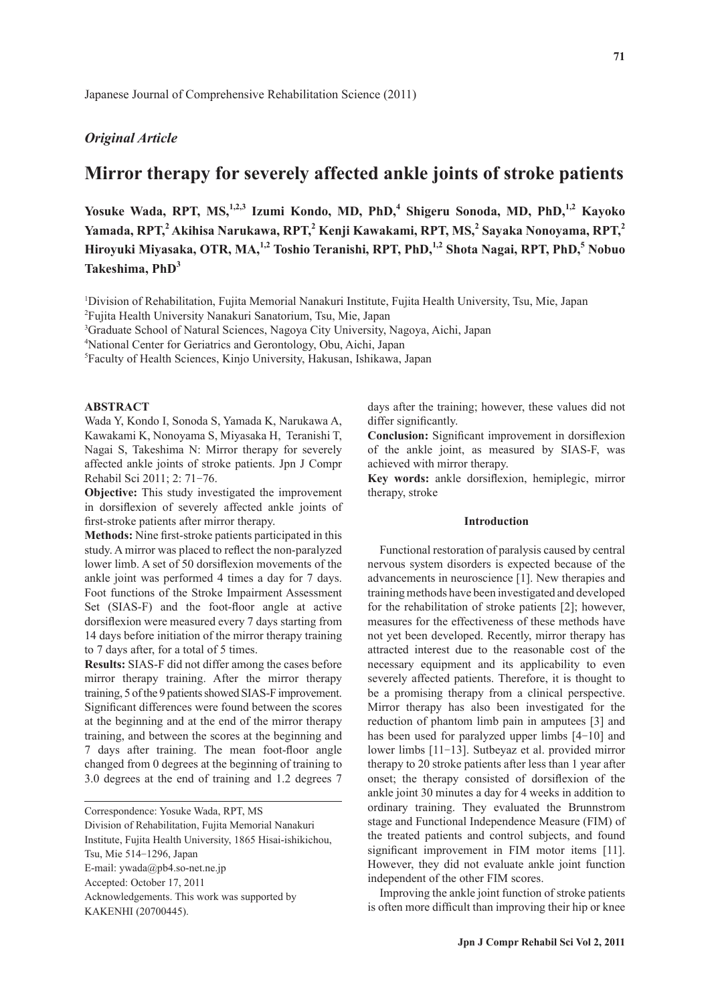## *Original Article*

# **Mirror therapy for severely affected ankle joints of stroke patients**

Yosuke Wada, RPT, MS,<sup>1,2,3</sup> Izumi Kondo, MD, PhD,<sup>4</sup> Shigeru Sonoda, MD, PhD,<sup>1,2</sup> Kayoko **Yamada, RPT,<sup>2</sup> Akihisa Narukawa, RPT,<sup>2</sup> Kenji Kawakami, RPT, MS,2 Sayaka Nonoyama, RPT,<sup>2</sup>** Hiroyuki Miyasaka, OTR, MA,<sup>1,2</sup> Toshio Teranishi, RPT, PhD,<sup>1,2</sup> Shota Nagai, RPT, PhD,<sup>5</sup> Nobuo **Takeshima, PhD<sup>3</sup>**

1 Division of Rehabilitation, Fujita Memorial Nanakuri Institute, Fujita Health University, Tsu, Mie, Japan 2 Fujita Health University Nanakuri Sanatorium, Tsu, Mie, Japan

3 Graduate School of Natural Sciences, Nagoya City University, Nagoya, Aichi, Japan

4 National Center for Geriatrics and Gerontology, Obu, Aichi, Japan

5 Faculty of Health Sciences, Kinjo University, Hakusan, Ishikawa, Japan

#### **ABSTRACT**

Wada Y, Kondo I, Sonoda S, Yamada K, Narukawa A, Kawakami K, Nonoyama S, Miyasaka H, Teranishi T, Nagai S, Takeshima N: Mirror therapy for severely affected ankle joints of stroke patients. Jpn J Compr Rehabil Sci 2011; 2: 71-76.

**Objective:** This study investigated the improvement in dorsiflexion of severely affected ankle joints of first-stroke patients after mirror therapy.

**Methods:** Nine first-stroke patients participated in this study. A mirror was placed to reflect the non-paralyzed lower limb. A set of 50 dorsiflexion movements of the ankle joint was performed 4 times a day for 7 days. Foot functions of the Stroke Impairment Assessment Set (SIAS-F) and the foot-floor angle at active dorsiflexion were measured every 7 days starting from 14 days before initiation of the mirror therapy training to 7 days after, for a total of 5 times.

**Results:** SIAS-F did not differ among the cases before mirror therapy training. After the mirror therapy training, 5 of the 9 patients showed SIAS-F improvement. Significant differences were found between the scores at the beginning and at the end of the mirror therapy training, and between the scores at the beginning and 7 days after training. The mean foot-floor angle changed from 0 degrees at the beginning of training to 3.0 degrees at the end of training and 1.2 degrees 7

Correspondence: Yosuke Wada, RPT, MS Division of Rehabilitation, Fujita Memorial Nanakuri Institute, Fujita Health University, 1865 Hisai-ishikichou, Tsu, Mie 514-1296, Japan E-mail: ywada@pb4.so-net.ne.jp Accepted: October 17, 2011 Acknowledgements. This work was supported by KAKENHI (20700445).

days after the training; however, these values did not differ significantly.

**Conclusion:** Significant improvement in dorsiflexion of the ankle joint, as measured by SIAS-F, was achieved with mirror therapy.

Key words: ankle dorsiflexion, hemiplegic, mirror therapy, stroke

## **Introduction**

Functional restoration of paralysis caused by central nervous system disorders is expected because of the advancements in neuroscience [1]. New therapies and training methods have been investigated and developed for the rehabilitation of stroke patients [2]; however, measures for the effectiveness of these methods have not yet been developed. Recently, mirror therapy has attracted interest due to the reasonable cost of the necessary equipment and its applicability to even severely affected patients. Therefore, it is thought to be a promising therapy from a clinical perspective. Mirror therapy has also been investigated for the reduction of phantom limb pain in amputees [3] and has been used for paralyzed upper limbs  $[4-10]$  and lower limbs [11-13]. Sutbeyaz et al. provided mirror therapy to 20 stroke patients after less than 1 year after onset; the therapy consisted of dorsiflexion of the ankle joint 30 minutes a day for 4 weeks in addition to ordinary training. They evaluated the Brunnstrom stage and Functional Independence Measure (FIM) of the treated patients and control subjects, and found significant improvement in FIM motor items [11]. However, they did not evaluate ankle joint function independent of the other FIM scores.

Improving the ankle joint function of stroke patients is often more difficult than improving their hip or knee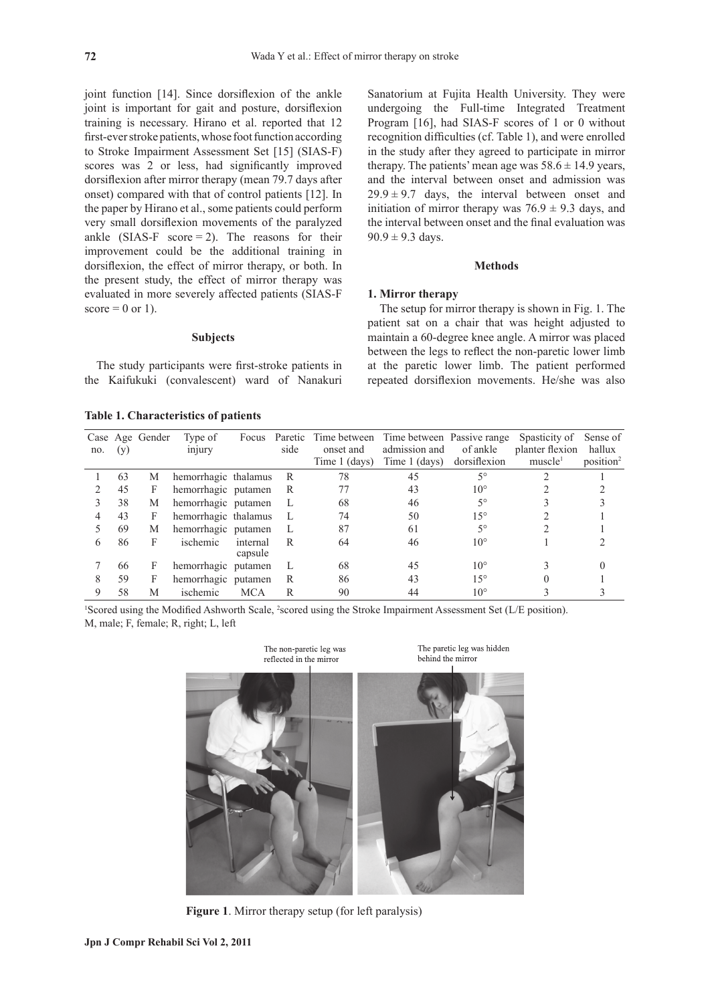joint function [14]. Since dorsiflexion of the ankle joint is important for gait and posture, dorsiflexion training is necessary. Hirano et al. reported that 12 first-ever stroke patients, whose foot function according to Stroke Impairment Assessment Set [15] (SIAS-F) scores was 2 or less, had significantly improved dorsiflexion after mirror therapy (mean 79.7 days after onset) compared with that of control patients [12]. In the paper by Hirano et al., some patients could perform very small dorsiflexion movements of the paralyzed ankle (SIAS-F score  $= 2$ ). The reasons for their improvement could be the additional training in dorsiflexion, the effect of mirror therapy, or both. In the present study, the effect of mirror therapy was evaluated in more severely affected patients (SIAS-F score  $= 0$  or 1).

#### **Subjects**

The study participants were first-stroke patients in the Kaifukuki (convalescent) ward of Nanakuri

**Table 1. Characteristics of patients**

Sanatorium at Fujita Health University. They were undergoing the Full-time Integrated Treatment Program [16], had SIAS-F scores of 1 or 0 without recognition difficulties (cf. Table 1), and were enrolled in the study after they agreed to participate in mirror therapy. The patients' mean age was  $58.6 \pm 14.9$  years, and the interval between onset and admission was  $29.9 \pm 9.7$  days, the interval between onset and initiation of mirror therapy was  $76.9 \pm 9.3$  days, and the interval between onset and the final evaluation was  $90.9 \pm 9.3$  days.

## **Methods**

## **1. Mirror therapy**

The setup for mirror therapy is shown in Fig. 1. The patient sat on a chair that was height adjusted to maintain a 60-degree knee angle. A mirror was placed between the legs to reflect the non-paretic lower limb at the paretic lower limb. The patient performed repeated dorsiflexion movements. He/she was also

| no. | (y) | Case Age Gender | Type of<br>injury    | Focus               | Paretic<br>side | onset and<br>Time 1 (days) | Time between Time between Passive range<br>admission and<br>Time 1 (days) | of ankle<br>dorsiflexion | Spasticity of<br>planter flexion<br>muscle <sup>1</sup> | Sense of<br>hallux<br>position <sup>2</sup> |
|-----|-----|-----------------|----------------------|---------------------|-----------------|----------------------------|---------------------------------------------------------------------------|--------------------------|---------------------------------------------------------|---------------------------------------------|
|     | 63  | М               | hemorrhagic thalamus |                     | R               | 78                         | 45                                                                        | $5^{\circ}$              |                                                         |                                             |
| ∍   | 45  | F               | hemorrhagic putamen  |                     | R               |                            | 43                                                                        | $10^{\circ}$             |                                                         |                                             |
| 3   | 38  | М               | hemorrhagic putamen  |                     |                 | 68                         | 46                                                                        | $5^{\circ}$              |                                                         |                                             |
| 4   | 43  | F               | hemorrhagic thalamus |                     | L               | 74                         | 50                                                                        | $15^{\circ}$             |                                                         |                                             |
|     | 69  | М               | hemorrhagic putamen  |                     | L               | 87                         | 61                                                                        | $5^{\circ}$              |                                                         |                                             |
| 6   | 86  | F               | ischemic             | internal<br>capsule | R               | 64                         | 46                                                                        | $10^{\circ}$             |                                                         |                                             |
|     | 66  | F               | hemorrhagic putamen  |                     | L               | 68                         | 45                                                                        | $10^{\circ}$             |                                                         |                                             |
| 8   | 59  | F               | hemorrhagic putamen  |                     | R               | 86                         | 43                                                                        | $15^{\circ}$             |                                                         |                                             |
| 9   | 58  | M               | ischemic             | <b>MCA</b>          | R               | 90                         | 44                                                                        | $10^{\circ}$             |                                                         |                                             |

<sup>1</sup>Scored using the Modified Ashworth Scale, <sup>2</sup>scored using the Stroke Impairment Assessment Set (L/E position). M, male; F, female; R, right; L, left



**Figure 1**. Mirror therapy setup (for left paralysis)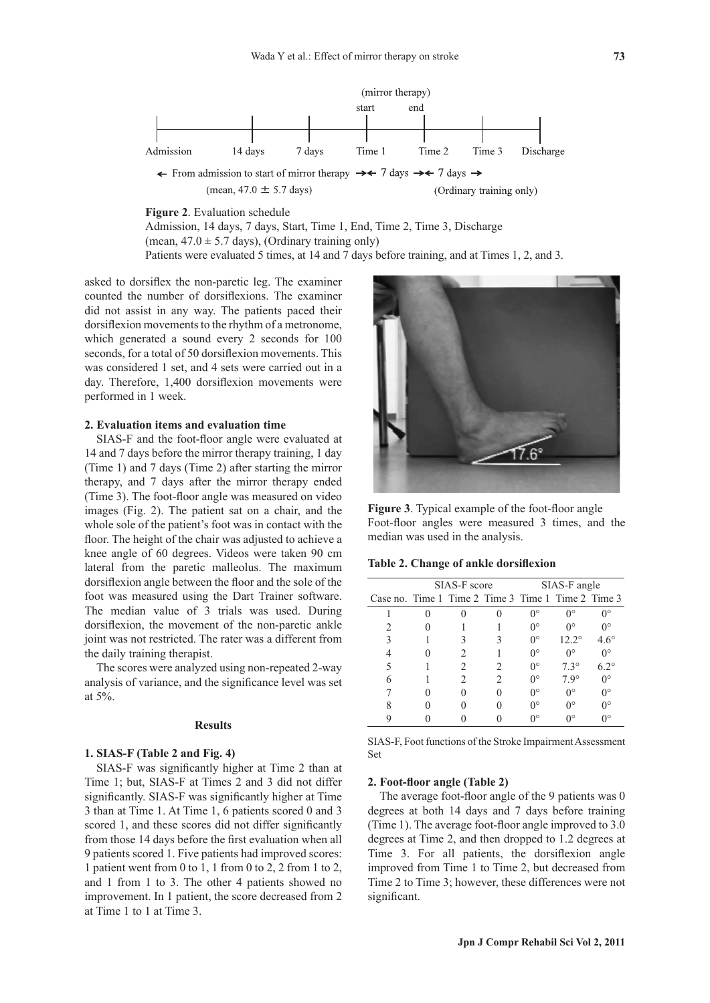

**Figure 2**. Evaluation schedule

Admission, 14 days, 7 days, Start, Time 1, End, Time 2, Time 3, Discharge (mean,  $47.0 \pm 5.7$  days), (Ordinary training only) Patients were evaluated 5 times, at 14 and 7 days before training, and at Times 1, 2, and 3.

asked to dorsiflex the non-paretic leg. The examiner counted the number of dorsiflexions. The examiner did not assist in any way. The patients paced their dorsiflexion movements to the rhythm of a metronome, which generated a sound every 2 seconds for 100 seconds, for a total of 50 dorsiflexion movements. This was considered 1 set, and 4 sets were carried out in a day. Therefore, 1,400 dorsiflexion movements were performed in 1 week.

## **2. Evaluation items and evaluation time**

SIAS-F and the foot-floor angle were evaluated at 14 and 7 days before the mirror therapy training, 1 day (Time 1) and 7 days (Time 2) after starting the mirror therapy, and 7 days after the mirror therapy ended (Time 3). The foot-floor angle was measured on video images (Fig. 2). The patient sat on a chair, and the whole sole of the patient's foot was in contact with the floor. The height of the chair was adjusted to achieve a knee angle of 60 degrees. Videos were taken 90 cm lateral from the paretic malleolus. The maximum dorsiflexion angle between the floor and the sole of the foot was measured using the Dart Trainer software. The median value of 3 trials was used. During dorsiflexion, the movement of the non-paretic ankle joint was not restricted. The rater was a different from the daily training therapist.

The scores were analyzed using non-repeated 2-way analysis of variance, and the significance level was set at 5%.

#### **Results**

#### **1. SIAS-F (Table 2 and Fig. 4)**

SIAS-F was significantly higher at Time 2 than at Time 1; but, SIAS-F at Times 2 and 3 did not differ significantly. SIAS-F was significantly higher at Time 3 than at Time 1. At Time 1, 6 patients scored 0 and 3 scored 1, and these scores did not differ significantly from those 14 days before the first evaluation when all 9 patients scored 1. Five patients had improved scores: 1 patient went from 0 to 1, 1 from 0 to 2, 2 from 1 to 2, and 1 from 1 to 3. The other 4 patients showed no improvement. In 1 patient, the score decreased from 2 at Time 1 to 1 at Time 3.



Figure 3. Typical example of the foot-floor angle Foot-floor angles were measured 3 times, and the median was used in the analysis.

#### Table 2. Change of ankle dorsiflexion

|                                                    | SIAS-F score | SIAS-F angle |              |               |  |
|----------------------------------------------------|--------------|--------------|--------------|---------------|--|
| Case no. Time 1 Time 2 Time 3 Time 1 Time 2 Time 3 |              |              |              |               |  |
|                                                    |              | ∩°           | ∩∘           | ∩∘            |  |
|                                                    |              | ∩°           | ∩°           | ∩∘            |  |
|                                                    |              | $0^{\circ}$  | $12.2^\circ$ | $4.6^{\circ}$ |  |
|                                                    |              | 0°           | ∩∘           | ∩∘            |  |
|                                                    |              | $0^{\circ}$  | $7.3^\circ$  | $6.2^\circ$   |  |
|                                                    |              | 0°           | 7.9°         | ∩∘            |  |
|                                                    |              | ∩°           | ∩∘           | ∩∘            |  |
|                                                    |              | ∩°           | ∩∘           | ∩∘            |  |
|                                                    |              | $\eta$       | n٥           | ٦٥            |  |

SIAS-F, Foot functions of the Stroke Impairment Assessment Set

## **2. Foot-floor angle (Table 2)**

The average foot-floor angle of the 9 patients was  $0$ degrees at both 14 days and 7 days before training (Time 1). The average foot-floor angle improved to  $3.0$ degrees at Time 2, and then dropped to 1.2 degrees at Time 3. For all patients, the dorsiflexion angle improved from Time 1 to Time 2, but decreased from Time 2 to Time 3; however, these differences were not significant.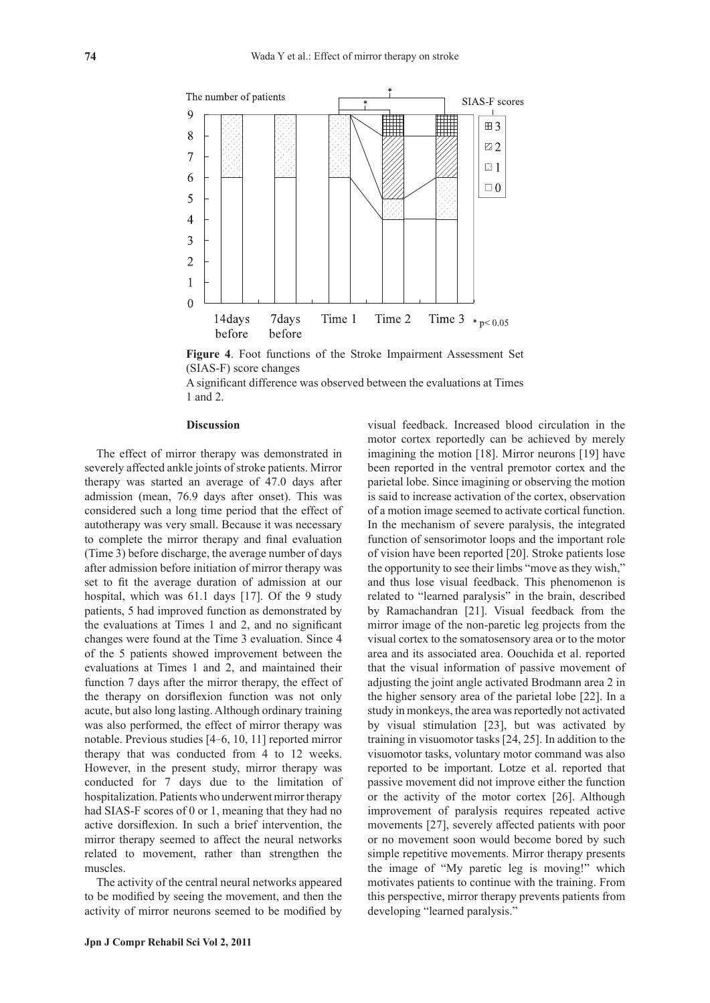

**Figure 4**. Foot functions of the Stroke Impairment Assessment Set (SIAS-F) score changes

A significant difference was observed between the evaluations at Times 1 and 2.

## **Discussion**

The effect of mirror therapy was demonstrated in severely affected ankle joints of stroke patients. Mirror therapy was started an average of 47.0 days after admission (mean, 76.9 days after onset). This was considered such a long time period that the effect of autotherapy was very small. Because it was necessary to complete the mirror therapy and final evaluation (Time 3) before discharge, the average number of days after admission before initiation of mirror therapy was set to fit the average duration of admission at our hospital, which was 61.1 days [17]. Of the 9 study patients, 5 had improved function as demonstrated by the evaluations at Times  $1$  and  $2$ , and no significant changes were found at the Time 3 evaluation. Since 4 of the 5 patients showed improvement between the evaluations at Times 1 and 2, and maintained their function 7 days after the mirror therapy, the effect of the therapy on dorsiflexion function was not only acute, but also long lasting. Although ordinary training was also performed, the effect of mirror therapy was notable. Previous studies [4-6, 10, 11] reported mirror therapy that was conducted from 4 to 12 weeks. However, in the present study, mirror therapy was conducted for 7 days due to the limitation of hospitalization. Patients who underwent mirror therapy had SIAS-F scores of 0 or 1, meaning that they had no active dorsiflexion. In such a brief intervention, the mirror therapy seemed to affect the neural networks related to movement, rather than strengthen the muscles.

The activity of the central neural networks appeared to be modified by seeing the movement, and then the activity of mirror neurons seemed to be modified by visual feedback. Increased blood circulation in the motor cortex reportedly can be achieved by merely imagining the motion [18]. Mirror neurons [19] have been reported in the ventral premotor cortex and the parietal lobe. Since imagining or observing the motion is said to increase activation of the cortex, observation of a motion image seemed to activate cortical function. In the mechanism of severe paralysis, the integrated function of sensorimotor loops and the important role of vision have been reported [20]. Stroke patients lose the opportunity to see their limbs "move as they wish," and thus lose visual feedback. This phenomenon is related to "learned paralysis" in the brain, described by Ramachandran [21]. Visual feedback from the mirror image of the non-paretic leg projects from the visual cortex to the somatosensory area or to the motor area and its associated area. Oouchida et al. reported that the visual information of passive movement of adjusting the joint angle activated Brodmann area 2 in the higher sensory area of the parietal lobe [22]. In a study in monkeys, the area was reportedly not activated by visual stimulation [23], but was activated by training in visuomotor tasks [24, 25]. In addition to the visuomotor tasks, voluntary motor command was also reported to be important. Lotze et al. reported that passive movement did not improve either the function or the activity of the motor cortex [26]. Although improvement of paralysis requires repeated active movements [27], severely affected patients with poor or no movement soon would become bored by such simple repetitive movements. Mirror therapy presents the image of "My paretic leg is moving!" which motivates patients to continue with the training. From this perspective, mirror therapy prevents patients from developing "learned paralysis."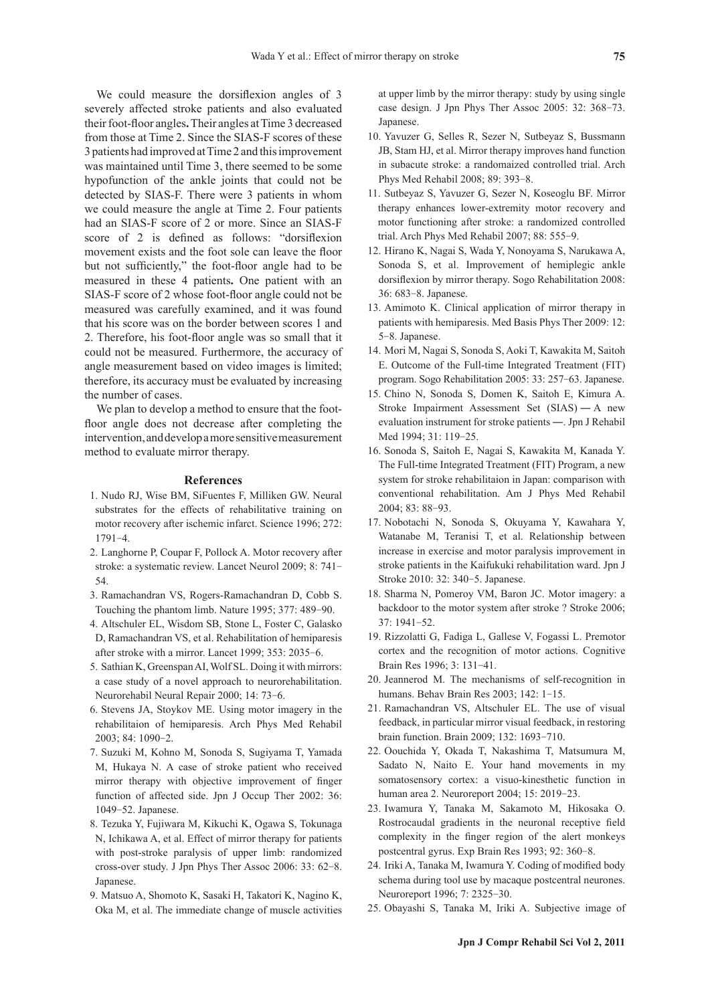We could measure the dorsiflexion angles of 3 severely affected stroke patients and also evaluated their foot-floor angles. Their angles at Time 3 decreased from those at Time 2. Since the SIAS-F scores of these 3 patients had improved at Time 2 and this improvement was maintained until Time 3, there seemed to be some hypofunction of the ankle joints that could not be detected by SIAS-F. There were 3 patients in whom we could measure the angle at Time 2. Four patients had an SIAS-F score of 2 or more. Since an SIAS-F score of 2 is defined as follows: "dorsiflexion movement exists and the foot sole can leave the floor but not sufficiently," the foot-floor angle had to be measured in these 4 patients**.** One patient with an SIAS-F score of 2 whose foot-floor angle could not be measured was carefully examined, and it was found that his score was on the border between scores 1 and 2. Therefore, his foot-floor angle was so small that it could not be measured. Furthermore, the accuracy of angle measurement based on video images is limited; therefore, its accuracy must be evaluated by increasing the number of cases.

We plan to develop a method to ensure that the footfloor angle does not decrease after completing the intervention, and develop a more sensitive measurement method to evaluate mirror therapy.

#### **References**

- 1 . Nudo RJ, Wise BM, SiFuentes F, Milliken GW. Neural substrates for the effects of rehabilitative training on motor recovery after ischemic infarct. Science 1996; 272: 1791-4.
- 2 . Langhorne P, Coupar F, Pollock A. Motor recovery after stroke: a systematic review. Lancet Neurol 2009; 8: 741- 54.
- 3 . Ramachandran VS, Rogers-Ramachandran D, Cobb S. Touching the phantom limb. Nature 1995; 377: 489-90.
- 4 . Altschuler EL, Wisdom SB, Stone L, Foster C, Galasko D, Ramachandran VS, et al. Rehabilitation of hemiparesis after stroke with a mirror. Lancet 1999; 353: 2035-6.
- 5 . Sathian K, Greenspan AI, Wolf SL. Doing it with mirrors: a case study of a novel approach to neurorehabilitation. Neurorehabil Neural Repair 2000; 14: 73-6.
- 6 . Stevens JA, Stoykov ME. Using motor imagery in the rehabilitaion of hemiparesis. Arch Phys Med Rehabil 2003; 84: 1090-2.
- 7 . Suzuki M, Kohno M, Sonoda S, Sugiyama T, Yamada M, Hukaya N. A case of stroke patient who received mirror therapy with objective improvement of finger function of affected side. Jpn J Occup Ther 2002: 36: 1049-52. Japanese.
- 8 . Tezuka Y, Fujiwara M, Kikuchi K, Ogawa S, Tokunaga N, Ichikawa A, et al. Effect of mirror therapy for patients with post-stroke paralysis of upper limb: randomized cross-over study. J Jpn Phys Ther Assoc 2006: 33: 62-8. Japanese.
- 9 . Matsuo A, Shomoto K, Sasaki H, Takatori K, Nagino K, Oka M, et al. The immediate change of muscle activities

at upper limb by the mirror therapy: study by using single case design. J Jpn Phys Ther Assoc 2005: 32: 368-73. Japanese.

- 10 . Yavuzer G, Selles R, Sezer N, Sutbeyaz S, Bussmann JB, Stam HJ, et al. Mirror therapy improves hand function in subacute stroke: a randomaized controlled trial. Arch Phys Med Rehabil 2008; 89: 393-8.
- 11 . Sutbeyaz S, Yavuzer G, Sezer N, Koseoglu BF. Mirror therapy enhances lower-extremity motor recovery and motor functioning after stroke: a randomized controlled trial. Arch Phys Med Rehabil 2007; 88: 555-9.
- 12 . Hirano K, Nagai S, Wada Y, Nonoyama S, Narukawa A, Sonoda S, et al. Improvement of hemiplegic ankle dorsiflexion by mirror therapy. Sogo Rehabilitation 2008: 36: 683-8. Japanese.
- 13 . Amimoto K. Clinical application of mirror therapy in patients with hemiparesis. Med Basis Phys Ther 2009: 12: 5-8. Japanese.
- 14 . Mori M, Nagai S, Sonoda S, Aoki T, Kawakita M, Saitoh E. Outcome of the Full-time Integrated Treatment (FIT) program. Sogo Rehabilitation 2005: 33: 257-63. Japanese.
- 15 . Chino N, Sonoda S, Domen K, Saitoh E, Kimura A. Stroke Impairment Assessment Set (SIAS) ― A new evaluation instrument for stroke patients ―. Jpn J Rehabil Med 1994; 31: 119-25.
- 16 . Sonoda S, Saitoh E, Nagai S, Kawakita M, Kanada Y. The Full-time Integrated Treatment (FIT) Program, a new system for stroke rehabilitaion in Japan: comparison with conventional rehabilitation. Am J Phys Med Rehabil 2004; 83: 88-93.
- 17 . Nobotachi N, Sonoda S, Okuyama Y, Kawahara Y, Watanabe M, Teranisi T, et al. Relationship between increase in exercise and motor paralysis improvement in stroke patients in the Kaifukuki rehabilitation ward. Jpn J Stroke 2010: 32: 340-5. Japanese.
- 18 . Sharma N, Pomeroy VM, Baron JC. Motor imagery: a backdoor to the motor system after stroke ? Stroke 2006; 37: 1941-52.
- 19 . Rizzolatti G, Fadiga L, Gallese V, Fogassi L. Premotor cortex and the recognition of motor actions. Cognitive Brain Res 1996; 3: 131-41.
- 20 . Jeannerod M. The mechanisms of self-recognition in humans. Behav Brain Res 2003; 142: 1-15.
- 21 . Ramachandran VS, Altschuler EL. The use of visual feedback, in particular mirror visual feedback, in restoring brain function. Brain 2009; 132: 1693-710.
- 22 . Oouchida Y, Okada T, Nakashima T, Matsumura M, Sadato N, Naito E. Your hand movements in my somatosensory cortex: a visuo-kinesthetic function in human area 2. Neuroreport 2004; 15: 2019-23.
- 23 . Iwamura Y, Tanaka M, Sakamoto M, Hikosaka O. Rostrocaudal gradients in the neuronal receptive field complexity in the finger region of the alert monkeys postcentral gyrus. Exp Brain Res 1993; 92: 360-8.
- 24. Iriki A, Tanaka M, Iwamura Y. Coding of modified body schema during tool use by macaque postcentral neurones. Neuroreport 1996; 7: 2325-30.
- 25 . Obayashi S, Tanaka M, Iriki A. Subjective image of